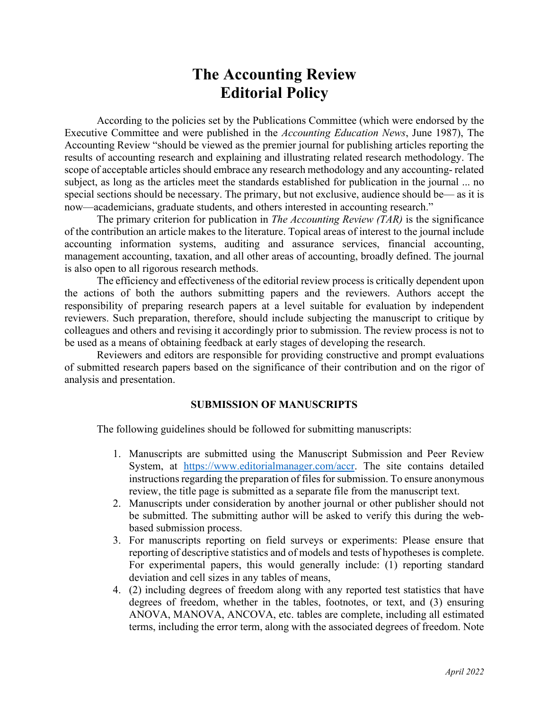# **The Accounting Review Editorial Policy**

According to the policies set by the Publications Committee (which were endorsed by the Executive Committee and were published in the *Accounting Education News*, June 1987), The Accounting Review "should be viewed as the premier journal for publishing articles reporting the results of accounting research and explaining and illustrating related research methodology. The scope of acceptable articles should embrace any research methodology and any accounting- related subject, as long as the articles meet the standards established for publication in the journal ... no special sections should be necessary. The primary, but not exclusive, audience should be— as it is now—academicians, graduate students, and others interested in accounting research."

The primary criterion for publication in *The Accounting Review (TAR)* is the significance of the contribution an article makes to the literature. Topical areas of interest to the journal include accounting information systems, auditing and assurance services, financial accounting, management accounting, taxation, and all other areas of accounting, broadly defined. The journal is also open to all rigorous research methods.

The efficiency and effectiveness of the editorial review process is critically dependent upon the actions of both the authors submitting papers and the reviewers. Authors accept the responsibility of preparing research papers at a level suitable for evaluation by independent reviewers. Such preparation, therefore, should include subjecting the manuscript to critique by colleagues and others and revising it accordingly prior to submission. The review process is not to be used as a means of obtaining feedback at early stages of developing the research.

Reviewers and editors are responsible for providing constructive and prompt evaluations of submitted research papers based on the significance of their contribution and on the rigor of analysis and presentation.

# **SUBMISSION OF MANUSCRIPTS**

The following guidelines should be followed for submitting manuscripts:

- 1. Manuscripts are submitted using the Manuscript Submission and Peer Review System, at [https://www.editorialmanager.com/accr.](https://www.editorialmanager.com/accr) The site contains detailed instructions regarding the preparation of files for submission. To ensure anonymous review, the title page is submitted as a separate file from the manuscript text.
- 2. Manuscripts under consideration by another journal or other publisher should not be submitted. The submitting author will be asked to verify this during the webbased submission process.
- 3. For manuscripts reporting on field surveys or experiments: Please ensure that reporting of descriptive statistics and of models and tests of hypotheses is complete. For experimental papers, this would generally include: (1) reporting standard deviation and cell sizes in any tables of means,
- 4. (2) including degrees of freedom along with any reported test statistics that have degrees of freedom, whether in the tables, footnotes, or text, and (3) ensuring ANOVA, MANOVA, ANCOVA, etc. tables are complete, including all estimated terms, including the error term, along with the associated degrees of freedom. Note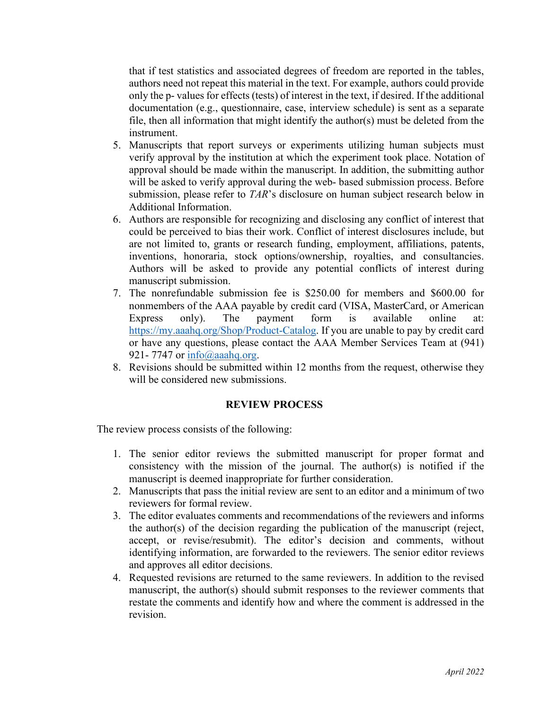that if test statistics and associated degrees of freedom are reported in the tables, authors need not repeat this material in the text. For example, authors could provide only the p- values for effects (tests) of interest in the text, if desired. If the additional documentation (e.g., questionnaire, case, interview schedule) is sent as a separate file, then all information that might identify the author(s) must be deleted from the instrument.

- 5. Manuscripts that report surveys or experiments utilizing human subjects must verify approval by the institution at which the experiment took place. Notation of approval should be made within the manuscript. In addition, the submitting author will be asked to verify approval during the web- based submission process. Before submission, please refer to *TAR*'s disclosure on human subject research below in Additional Information.
- 6. Authors are responsible for recognizing and disclosing any conflict of interest that could be perceived to bias their work. Conflict of interest disclosures include, but are not limited to, grants or research funding, employment, affiliations, patents, inventions, honoraria, stock options/ownership, royalties, and consultancies. Authors will be asked to provide any potential conflicts of interest during manuscript submission.
- 7. The nonrefundable submission fee is \$250.00 for members and \$600.00 for nonmembers of the AAA payable by credit card (VISA, MasterCard, or American Express only). The payment form is available online at: [https://my.aaahq.org/Shop/Product-Catalog.](https://my.aaahq.org/Shop/Product-Catalog) If you are unable to pay by credit card or have any questions, please contact the AAA Member Services Team at (941) 921- 7747 or  $info(\hat{\omega})$  aaahq.org.
- 8. Revisions should be submitted within 12 months from the request, otherwise they will be considered new submissions.

# **REVIEW PROCESS**

The review process consists of the following:

- 1. The senior editor reviews the submitted manuscript for proper format and consistency with the mission of the journal. The author(s) is notified if the manuscript is deemed inappropriate for further consideration.
- 2. Manuscripts that pass the initial review are sent to an editor and a minimum of two reviewers for formal review.
- 3. The editor evaluates comments and recommendations of the reviewers and informs the author(s) of the decision regarding the publication of the manuscript (reject, accept, or revise/resubmit). The editor's decision and comments, without identifying information, are forwarded to the reviewers. The senior editor reviews and approves all editor decisions.
- 4. Requested revisions are returned to the same reviewers. In addition to the revised manuscript, the author(s) should submit responses to the reviewer comments that restate the comments and identify how and where the comment is addressed in the revision.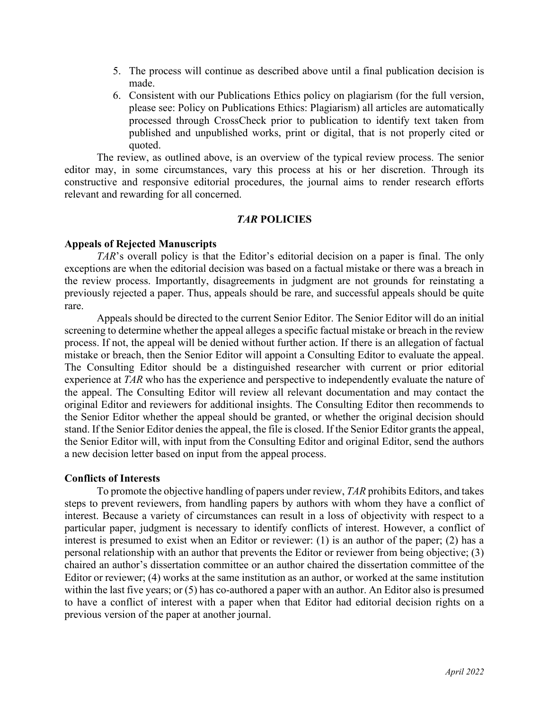- 5. The process will continue as described above until a final publication decision is made.
- 6. Consistent with our Publications Ethics policy on plagiarism (for the full version, please see: Policy on Publications Ethics: Plagiarism) all articles are automatically processed through CrossCheck prior to publication to identify text taken from published and unpublished works, print or digital, that is not properly cited or quoted.

The review, as outlined above, is an overview of the typical review process. The senior editor may, in some circumstances, vary this process at his or her discretion. Through its constructive and responsive editorial procedures, the journal aims to render research efforts relevant and rewarding for all concerned.

# *TAR* **POLICIES**

#### **Appeals of Rejected Manuscripts**

*TAR*'s overall policy is that the Editor's editorial decision on a paper is final. The only exceptions are when the editorial decision was based on a factual mistake or there was a breach in the review process. Importantly, disagreements in judgment are not grounds for reinstating a previously rejected a paper. Thus, appeals should be rare, and successful appeals should be quite rare.

Appeals should be directed to the current Senior Editor. The Senior Editor will do an initial screening to determine whether the appeal alleges a specific factual mistake or breach in the review process. If not, the appeal will be denied without further action. If there is an allegation of factual mistake or breach, then the Senior Editor will appoint a Consulting Editor to evaluate the appeal. The Consulting Editor should be a distinguished researcher with current or prior editorial experience at *TAR* who has the experience and perspective to independently evaluate the nature of the appeal. The Consulting Editor will review all relevant documentation and may contact the original Editor and reviewers for additional insights. The Consulting Editor then recommends to the Senior Editor whether the appeal should be granted, or whether the original decision should stand. If the Senior Editor denies the appeal, the file is closed. If the Senior Editor grants the appeal, the Senior Editor will, with input from the Consulting Editor and original Editor, send the authors a new decision letter based on input from the appeal process.

#### **Conflicts of Interests**

To promote the objective handling of papers under review, *TAR* prohibits Editors, and takes steps to prevent reviewers, from handling papers by authors with whom they have a conflict of interest. Because a variety of circumstances can result in a loss of objectivity with respect to a particular paper, judgment is necessary to identify conflicts of interest. However, a conflict of interest is presumed to exist when an Editor or reviewer: (1) is an author of the paper; (2) has a personal relationship with an author that prevents the Editor or reviewer from being objective; (3) chaired an author's dissertation committee or an author chaired the dissertation committee of the Editor or reviewer; (4) works at the same institution as an author, or worked at the same institution within the last five years; or (5) has co-authored a paper with an author. An Editor also is presumed to have a conflict of interest with a paper when that Editor had editorial decision rights on a previous version of the paper at another journal.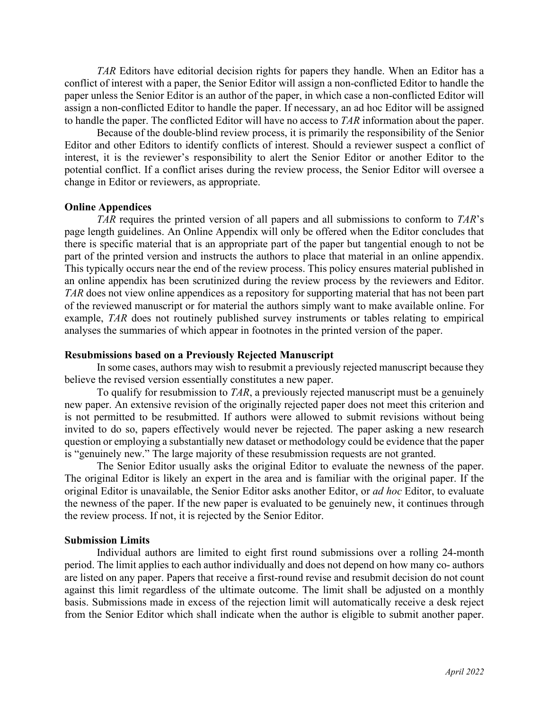*TAR* Editors have editorial decision rights for papers they handle. When an Editor has a conflict of interest with a paper, the Senior Editor will assign a non-conflicted Editor to handle the paper unless the Senior Editor is an author of the paper, in which case a non-conflicted Editor will assign a non-conflicted Editor to handle the paper. If necessary, an ad hoc Editor will be assigned to handle the paper. The conflicted Editor will have no access to *TAR* information about the paper.

Because of the double-blind review process, it is primarily the responsibility of the Senior Editor and other Editors to identify conflicts of interest. Should a reviewer suspect a conflict of interest, it is the reviewer's responsibility to alert the Senior Editor or another Editor to the potential conflict. If a conflict arises during the review process, the Senior Editor will oversee a change in Editor or reviewers, as appropriate.

### **Online Appendices**

*TAR* requires the printed version of all papers and all submissions to conform to *TAR*'s page length guidelines. An Online Appendix will only be offered when the Editor concludes that there is specific material that is an appropriate part of the paper but tangential enough to not be part of the printed version and instructs the authors to place that material in an online appendix. This typically occurs near the end of the review process. This policy ensures material published in an online appendix has been scrutinized during the review process by the reviewers and Editor. *TAR* does not view online appendices as a repository for supporting material that has not been part of the reviewed manuscript or for material the authors simply want to make available online. For example, *TAR* does not routinely published survey instruments or tables relating to empirical analyses the summaries of which appear in footnotes in the printed version of the paper.

#### **Resubmissions based on a Previously Rejected Manuscript**

In some cases, authors may wish to resubmit a previously rejected manuscript because they believe the revised version essentially constitutes a new paper.

To qualify for resubmission to *TAR*, a previously rejected manuscript must be a genuinely new paper. An extensive revision of the originally rejected paper does not meet this criterion and is not permitted to be resubmitted. If authors were allowed to submit revisions without being invited to do so, papers effectively would never be rejected. The paper asking a new research question or employing a substantially new dataset or methodology could be evidence that the paper is "genuinely new." The large majority of these resubmission requests are not granted.

The Senior Editor usually asks the original Editor to evaluate the newness of the paper. The original Editor is likely an expert in the area and is familiar with the original paper. If the original Editor is unavailable, the Senior Editor asks another Editor, or *ad hoc* Editor, to evaluate the newness of the paper. If the new paper is evaluated to be genuinely new, it continues through the review process. If not, it is rejected by the Senior Editor.

#### **Submission Limits**

Individual authors are limited to eight first round submissions over a rolling 24-month period. The limit applies to each author individually and does not depend on how many co- authors are listed on any paper. Papers that receive a first-round revise and resubmit decision do not count against this limit regardless of the ultimate outcome. The limit shall be adjusted on a monthly basis. Submissions made in excess of the rejection limit will automatically receive a desk reject from the Senior Editor which shall indicate when the author is eligible to submit another paper.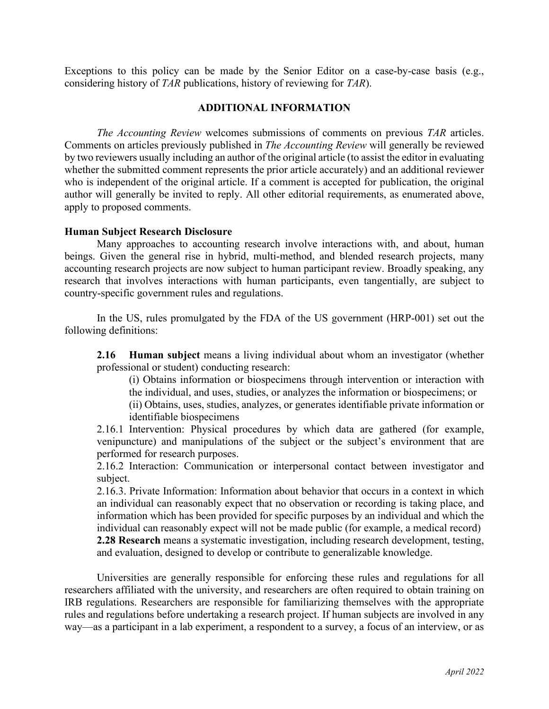Exceptions to this policy can be made by the Senior Editor on a case-by-case basis (e.g., considering history of *TAR* publications, history of reviewing for *TAR*).

### **ADDITIONAL INFORMATION**

*The Accounting Review* welcomes submissions of comments on previous *TAR* articles. Comments on articles previously published in *The Accounting Review* will generally be reviewed by two reviewers usually including an author of the original article (to assist the editor in evaluating whether the submitted comment represents the prior article accurately) and an additional reviewer who is independent of the original article. If a comment is accepted for publication, the original author will generally be invited to reply. All other editorial requirements, as enumerated above, apply to proposed comments.

#### **Human Subject Research Disclosure**

Many approaches to accounting research involve interactions with, and about, human beings. Given the general rise in hybrid, multi-method, and blended research projects, many accounting research projects are now subject to human participant review. Broadly speaking, any research that involves interactions with human participants, even tangentially, are subject to country-specific government rules and regulations.

In the US, rules promulgated by the FDA of the US government (HRP-001) set out the following definitions:

**2.16 Human subject** means a living individual about whom an investigator (whether professional or student) conducting research:

(i) Obtains information or biospecimens through intervention or interaction with the individual, and uses, studies, or analyzes the information or biospecimens; or

(ii) Obtains, uses, studies, analyzes, or generates identifiable private information or identifiable biospecimens

2.16.1 Intervention: Physical procedures by which data are gathered (for example, venipuncture) and manipulations of the subject or the subject's environment that are performed for research purposes.

2.16.2 Interaction: Communication or interpersonal contact between investigator and subject.

2.16.3. Private Information: Information about behavior that occurs in a context in which an individual can reasonably expect that no observation or recording is taking place, and information which has been provided for specific purposes by an individual and which the individual can reasonably expect will not be made public (for example, a medical record) **2.28 Research** means a systematic investigation, including research development, testing, and evaluation, designed to develop or contribute to generalizable knowledge.

Universities are generally responsible for enforcing these rules and regulations for all researchers affiliated with the university, and researchers are often required to obtain training on IRB regulations. Researchers are responsible for familiarizing themselves with the appropriate rules and regulations before undertaking a research project. If human subjects are involved in any way—as a participant in a lab experiment, a respondent to a survey, a focus of an interview, or as